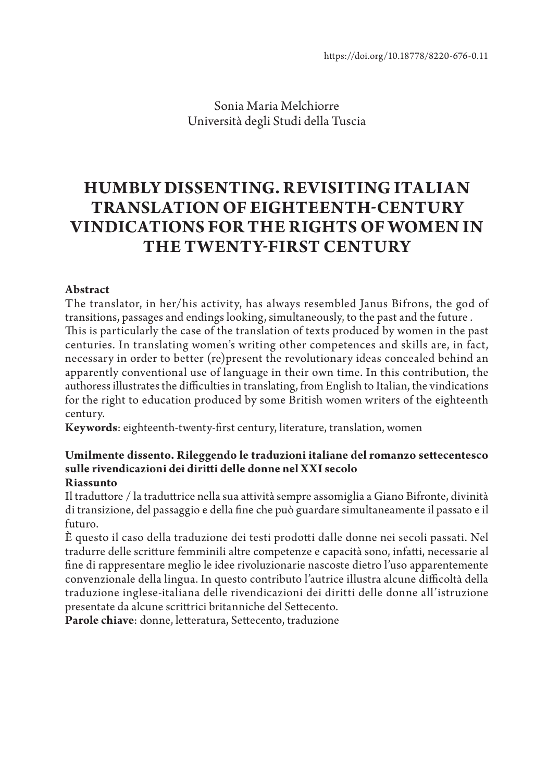Sonia Maria Melchiorre Università degli Studi della Tuscia

# **HUMBLY DISSENTING. REVISITING ITALIAN TRANSLATION OF EIGHTEENTH-CENTURY VINDICATIONS FOR THE RIGHTS OF WOMEN IN THE TWENTY-FIRST CENTURY**

### **Abstract**

The translator, in her/his activity, has always resembled Janus Bifrons, the god of transitions, passages and endings looking, simultaneously, to the past and the future . This is particularly the case of the translation of texts produced by women in the past centuries. In translating women's writing other competences and skills are, in fact, necessary in order to better (re)present the revolutionary ideas concealed behind an apparently conventional use of language in their own time. In this contribution, the authoress illustrates the difficulties in translating, from English to Italian, the vindications for the right to education produced by some British women writers of the eighteenth century.

**Keywords**: eighteenth-twenty-first century, literature, translation, women

#### **Umilmente dissento. Rileggendo le traduzioni italiane del romanzo settecentesco sulle rivendicazioni dei diritti delle donne nel XXI secolo Riassunto**

Il traduttore / la traduttrice nella sua attività sempre assomiglia a Giano Bifronte, divinità di transizione, del passaggio e della fine che può guardare simultaneamente il passato e il futuro.

È questo il caso della traduzione dei testi prodotti dalle donne nei secoli passati. Nel tradurre delle scritture femminili altre competenze e capacità sono, infatti, necessarie al fine di rappresentare meglio le idee rivoluzionarie nascoste dietro l'uso apparentemente convenzionale della lingua. In questo contributo l'autrice illustra alcune difficoltà della traduzione inglese-italiana delle rivendicazioni dei diritti delle donne all'istruzione presentate da alcune scrittrici britanniche del Settecento.

**Parole chiave**: donne, letteratura, Settecento, traduzione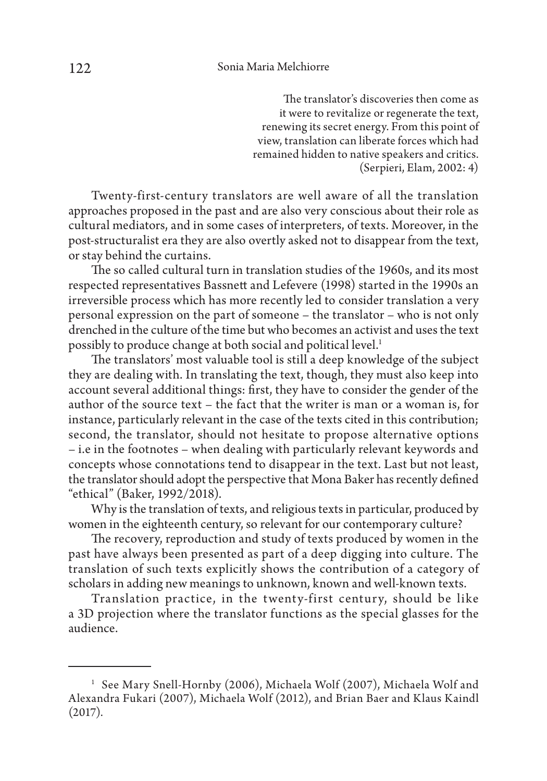The translator's discoveries then come as it were to revitalize or regenerate the text, renewing its secret energy. From this point of view, translation can liberate forces which had remained hidden to native speakers and critics. (Serpieri, Elam, 2002: 4)

Twenty-first-century translators are well aware of all the translation approaches proposed in the past and are also very conscious about their role as cultural mediators, and in some cases of interpreters, of texts. Moreover, in the post-structuralist era they are also overtly asked not to disappear from the text, or stay behind the curtains.

The so called cultural turn in translation studies of the 1960s, and its most respected representatives Bassnett and Lefevere (1998) started in the 1990s an irreversible process which has more recently led to consider translation a very personal expression on the part of someone – the translator – who is not only drenched in the culture of the time but who becomes an activist and uses the text possibly to produce change at both social and political level.<sup>1</sup>

The translators' most valuable tool is still a deep knowledge of the subject they are dealing with. In translating the text, though, they must also keep into account several additional things: first, they have to consider the gender of the author of the source text – the fact that the writer is man or a woman is, for instance, particularly relevant in the case of the texts cited in this contribution; second, the translator, should not hesitate to propose alternative options – i.e in the footnotes – when dealing with particularly relevant keywords and concepts whose connotations tend to disappear in the text. Last but not least, the translator should adopt the perspective that Mona Baker has recently defined "ethical" (Baker, 1992/2018).

Why is the translation of texts, and religious texts in particular, produced by women in the eighteenth century, so relevant for our contemporary culture?

The recovery, reproduction and study of texts produced by women in the past have always been presented as part of a deep digging into culture. The translation of such texts explicitly shows the contribution of a category of scholars in adding new meanings to unknown, known and well-known texts.

Translation practice, in the twenty-first century, should be like a 3D projection where the translator functions as the special glasses for the audience.

<sup>1</sup> See Mary Snell-Hornby (2006), Michaela Wolf (2007), Michaela Wolf and Alexandra Fukari (2007), Michaela Wolf (2012), and Brian Baer and Klaus Kaindl (2017).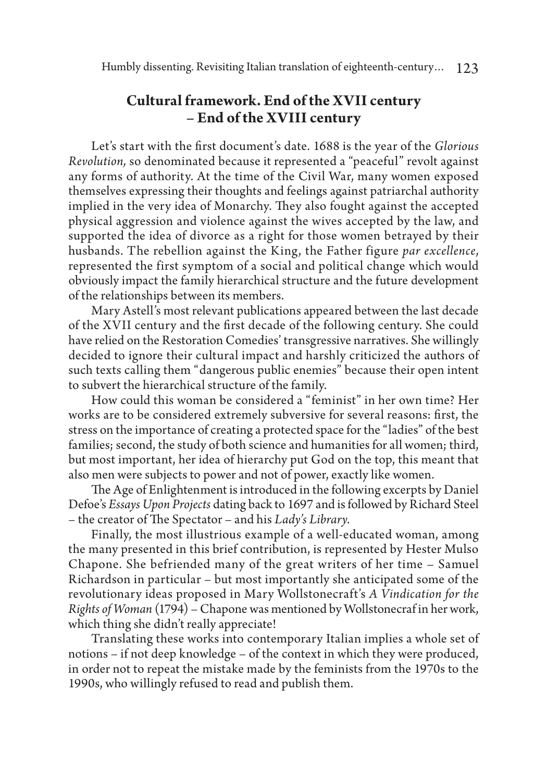# **Cultural framework. End of the XVII century – End of the XVIII century**

Let's start with the first document's date. 1688 is the year of the *Glorious Revolution,* so denominated because it represented a "peaceful" revolt against any forms of authority. At the time of the Civil War, many women exposed themselves expressing their thoughts and feelings against patriarchal authority implied in the very idea of Monarchy. They also fought against the accepted physical aggression and violence against the wives accepted by the law, and supported the idea of divorce as a right for those women betrayed by their husbands. The rebellion against the King, the Father figure *par excellence*, represented the first symptom of a social and political change which would obviously impact the family hierarchical structure and the future development of the relationships between its members.

Mary Astell's most relevant publications appeared between the last decade of the XVII century and the first decade of the following century. She could have relied on the Restoration Comedies' transgressive narratives. She willingly decided to ignore their cultural impact and harshly criticized the authors of such texts calling them "dangerous public enemies" because their open intent to subvert the hierarchical structure of the family.

How could this woman be considered a "feminist" in her own time? Her works are to be considered extremely subversive for several reasons: first, the stress on the importance of creating a protected space for the "ladies" of the best families; second, the study of both science and humanities for all women; third, but most important, her idea of hierarchy put God on the top, this meant that also men were subjects to power and not of power, exactly like women.

The Age of Enlightenment is introduced in the following excerpts by Daniel Defoe's *Essays Upon Projects* dating back to 1697 and is followed by Richard Steel – the creator of The Spectator – and his *Lady's Library*.

Finally, the most illustrious example of a well-educated woman, among the many presented in this brief contribution, is represented by Hester Mulso Chapone. She befriended many of the great writers of her time – Samuel Richardson in particular – but most importantly she anticipated some of the revolutionary ideas proposed in Mary Wollstonecraft's *A Vindication for the Rights of Woman* (1794) – Chapone was mentioned by Wollstonecraf in her work, which thing she didn't really appreciate!

Translating these works into contemporary Italian implies a whole set of notions – if not deep knowledge – of the context in which they were produced, in order not to repeat the mistake made by the feminists from the 1970s to the 1990s, who willingly refused to read and publish them.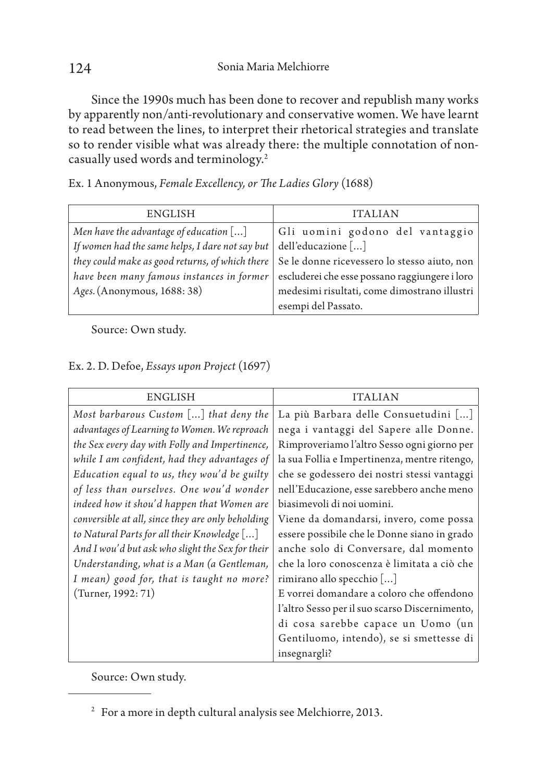Since the 1990s much has been done to recover and republish many works by apparently non/anti-revolutionary and conservative women. We have learnt to read between the lines, to interpret their rhetorical strategies and translate so to render visible what was already there: the multiple connotation of noncasually used words and terminology.2

| <b>ENGLISH</b>                                                                                                                                                                                                             | <b>ITALIAN</b>                                                                                                                                                                                            |
|----------------------------------------------------------------------------------------------------------------------------------------------------------------------------------------------------------------------------|-----------------------------------------------------------------------------------------------------------------------------------------------------------------------------------------------------------|
| Men have the advantage of education $[]$<br>If women had the same helps, I dare not say but<br>they could make as good returns, of which there<br>have been many famous instances in former<br>Ages. (Anonymous, 1688: 38) | Gli uomini godono del vantaggio<br>dell'educazione []<br>Se le donne ricevessero lo stesso aiuto, non<br>escluderei che esse possano raggiungere i loro  <br>medesimi risultati, come dimostrano illustri |
|                                                                                                                                                                                                                            | esempi del Passato.                                                                                                                                                                                       |

Ex. 1 Anonymous, *Female Excellency, or The Ladies Glory* (1688)

Source: Own study.

| Ex. 2. D. Defoe, Essays upon Project (1697) |  |  |  |
|---------------------------------------------|--|--|--|
|---------------------------------------------|--|--|--|

| <b>ENGLISH</b>                                    | ITALIAN                                        |
|---------------------------------------------------|------------------------------------------------|
| Most barbarous Custom [] that deny the            | La più Barbara delle Consuetudini []           |
| advantages of Learning to Women. We reproach      | nega i vantaggi del Sapere alle Donne.         |
| the Sex every day with Folly and Impertinence,    | Rimproveriamo l'altro Sesso ogni giorno per    |
| while I am confident, had they advantages of      | la sua Follia e Impertinenza, mentre ritengo,  |
| Education equal to us, they wou'd be guilty       | che se godessero dei nostri stessi vantaggi    |
| of less than ourselves. One wou'd wonder          | nell'Educazione, esse sarebbero anche meno     |
| indeed how it shou'd happen that Women are        | biasimevoli di noi uomini.                     |
| conversible at all, since they are only beholding | Viene da domandarsi, invero, come possa        |
| to Natural Parts for all their Knowledge []       | essere possibile che le Donne siano in grado   |
| And I wou'd but ask who slight the Sex for their  | anche solo di Conversare, dal momento          |
| Understanding, what is a Man (a Gentleman,        | che la loro conoscenza è limitata a ciò che    |
| I mean) good for, that is taught no more?         | rimirano allo specchio $\left[\ldots\right]$   |
| (Turner, 1992: 71)                                | E vorrei domandare a coloro che offendono      |
|                                                   | l'altro Sesso per il suo scarso Discernimento, |
|                                                   | di cosa sarebbe capace un Uomo (un             |
|                                                   | Gentiluomo, intendo), se si smettesse di       |
|                                                   | insegnargli?                                   |

Source: Own study.

<sup>2</sup> For a more in depth cultural analysis see Melchiorre, 2013.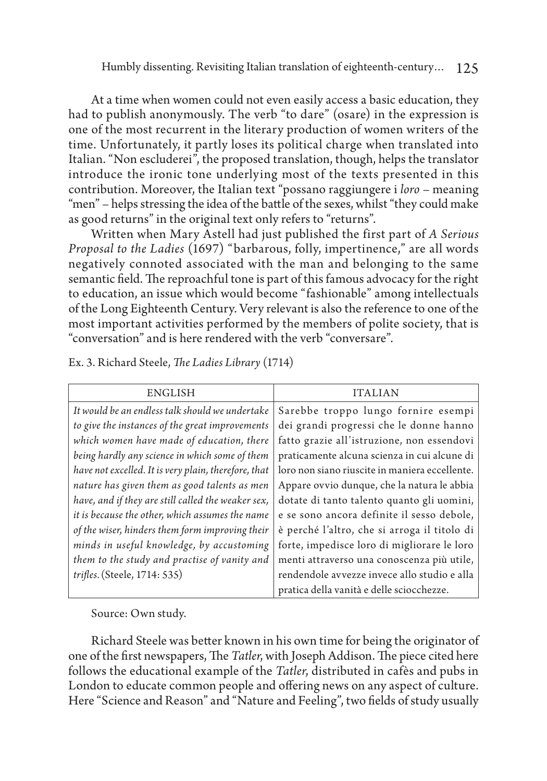At a time when women could not even easily access a basic education, they had to publish anonymously. The verb "to dare" (osare) in the expression is one of the most recurrent in the literary production of women writers of the time. Unfortunately, it partly loses its political charge when translated into Italian. "Non escluderei", the proposed translation, though, helps the translator introduce the ironic tone underlying most of the texts presented in this contribution. Moreover, the Italian text "possano raggiungere i *loro* – meaning "men" – helps stressing the idea of the battle of the sexes, whilst "they could make as good returns" in the original text only refers to "returns".

Written when Mary Astell had just published the first part of *A Serious Proposal to the Ladies* (1697) "barbarous, folly, impertinence," are all words negatively connoted associated with the man and belonging to the same semantic field. The reproachful tone is part of this famous advocacy for the right to education, an issue which would become "fashionable" among intellectuals of the Long Eighteenth Century. Very relevant is also the reference to one of the most important activities performed by the members of polite society, that is "conversation" and is here rendered with the verb "conversare".

| <b>ENGLISH</b>                                       | <b>ITALIAN</b>                                 |
|------------------------------------------------------|------------------------------------------------|
| It would be an endless talk should we undertake      | Sarebbe troppo lungo fornire esempi            |
| to give the instances of the great improvements      | dei grandi progressi che le donne hanno        |
| which women have made of education, there            | fatto grazie all'istruzione, non essendovi     |
| being hardly any science in which some of them       | praticamente alcuna scienza in cui alcune di   |
| have not excelled. It is very plain, therefore, that | loro non siano riuscite in maniera eccellente. |
| nature has given them as good talents as men         | Appare ovvio dunque, che la natura le abbia    |
| have, and if they are still called the weaker sex,   | dotate di tanto talento quanto gli uomini,     |
| it is because the other, which assumes the name      | e se sono ancora definite il sesso debole,     |
| of the wiser, hinders them form improving their      | è perché l'altro, che si arroga il titolo di   |
| minds in useful knowledge, by accustoming            | forte, impedisce loro di migliorare le loro    |
| them to the study and practise of vanity and         | menti attraverso una conoscenza più utile,     |
| <i>trifles.</i> (Steele, 1714: 535)                  | rendendole avvezze invece allo studio e alla   |
|                                                      | pratica della vanità e delle sciocchezze.      |

Ex. 3. Richard Steele, *The Ladies Library* (1714)

Source: Own study.

Richard Steele was better known in his own time for being the originator of one of the first newspapers, The *Tatler*, with Joseph Addison. The piece cited here follows the educational example of the *Tatler*, distributed in cafès and pubs in London to educate common people and offering news on any aspect of culture. Here "Science and Reason" and "Nature and Feeling", two fields of study usually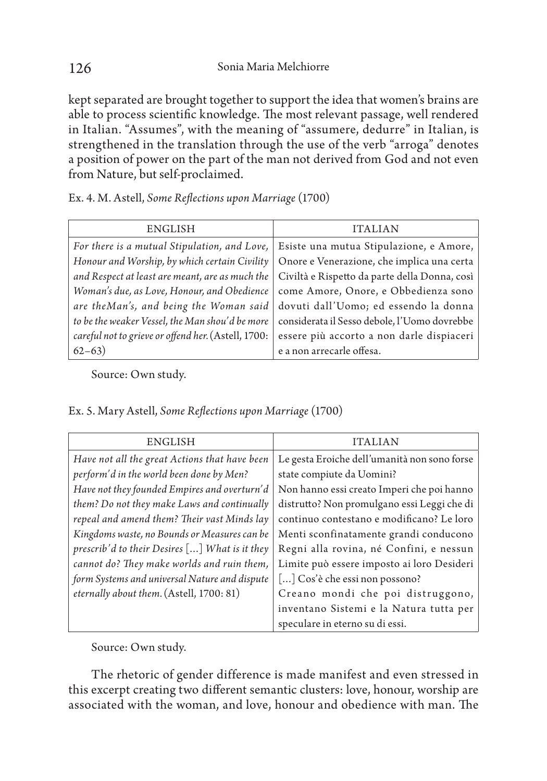kept separated are brought together to support the idea that women's brains are able to process scientific knowledge. The most relevant passage, well rendered in Italian. "Assumes", with the meaning of "assumere, dedurre" in Italian, is strengthened in the translation through the use of the verb "arroga" denotes a position of power on the part of the man not derived from God and not even from Nature, but self-proclaimed.

Ex. 4. M. Astell, *Some Reflections upon Marriage* (1700)

| <b>ENGLISH</b>                                      | <b>ITALIAN</b>                                |
|-----------------------------------------------------|-----------------------------------------------|
| For there is a mutual Stipulation, and Love,        | Esiste una mutua Stipulazione, e Amore,       |
| Honour and Worship, by which certain Civility       | Onore e Venerazione, che implica una certa    |
| and Respect at least are meant, are as much the     | Civiltà e Rispetto da parte della Donna, così |
| Woman's due, as Love, Honour, and Obedience         | come Amore, Onore, e Obbedienza sono          |
| are theMan's, and being the Woman said              | dovuti dall'Uomo; ed essendo la donna         |
| to be the weaker Vessel, the Man shou'd be more     | considerata il Sesso debole, l'Uomo dovrebbe  |
| careful not to grieve or offend her. (Astell, 1700: | essere più accorto a non darle dispiaceri     |
| $62 - 63$                                           | e a non arrecarle offesa.                     |

Source: Own study.

| Ex. 5. Mary Astell, Some Reflections upon Marriage (1700) |  |  |  |
|-----------------------------------------------------------|--|--|--|
|-----------------------------------------------------------|--|--|--|

| <b>ENGLISH</b>                                   | <b>ITALIAN</b>                               |
|--------------------------------------------------|----------------------------------------------|
| Have not all the great Actions that have been    | Le gesta Eroiche dell'umanità non sono forse |
| perform'd in the world been done by Men?         | state compiute da Uomini?                    |
| Have not they founded Empires and overturn'd     | Non hanno essi creato Imperi che poi hanno   |
| them? Do not they make Laws and continually      | distrutto? Non promulgano essi Leggi che di  |
| repeal and amend them? Their vast Minds lay      | continuo contestano e modificano? Le loro    |
| Kingdoms waste, no Bounds or Measures can be     | Menti sconfinatamente grandi conducono       |
| prescrib'd to their Desires $[]$ What is it they | Regni alla rovina, né Confini, e nessun      |
| cannot do? They make worlds and ruin them,       | Limite può essere imposto ai loro Desideri   |
| form Systems and universal Nature and dispute    | [] Cos'è che essi non possono?               |
| eternally about them. (Astell, 1700: 81)         | Creano mondi che poi distruggono,            |
|                                                  | inventano Sistemi e la Natura tutta per      |
|                                                  | speculare in eterno su di essi.              |

Source: Own study.

The rhetoric of gender difference is made manifest and even stressed in this excerpt creating two different semantic clusters: love, honour, worship are associated with the woman, and love, honour and obedience with man. The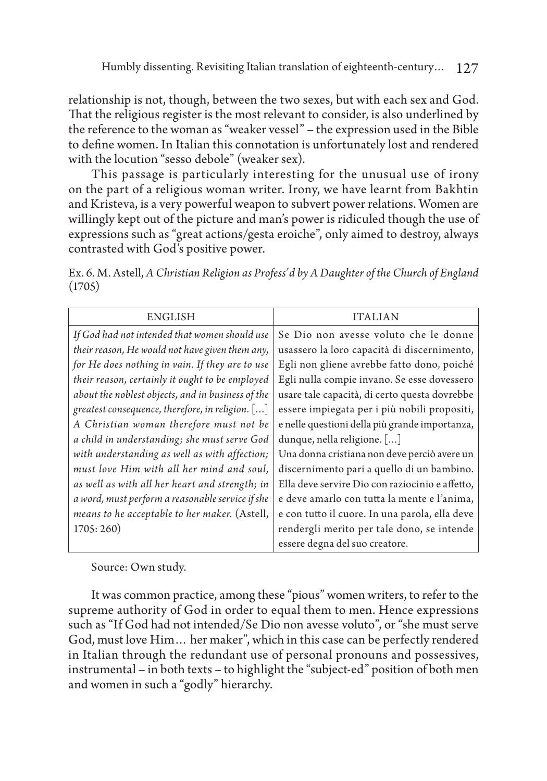relationship is not, though, between the two sexes, but with each sex and God. That the religious register is the most relevant to consider, is also underlined by the reference to the woman as "weaker vessel" – the expression used in the Bible to define women. In Italian this connotation is unfortunately lost and rendered with the locution "sesso debole" (weaker sex).

This passage is particularly interesting for the unusual use of irony on the part of a religious woman writer. Irony, we have learnt from Bakhtin and Kristeva, is a very powerful weapon to subvert power relations. Women are willingly kept out of the picture and man's power is ridiculed though the use of expressions such as "great actions/gesta eroiche", only aimed to destroy, always contrasted with God's positive power.

Ex. 6. M. Astell, *A Christian Religion as Profess'd by A Daughter of the Church of England*  (1705)

| <b>ENGLISH</b>                                           | <b>ITALIAN</b>                                  |
|----------------------------------------------------------|-------------------------------------------------|
| If God had not intended that women should use            | Se Dio non avesse voluto che le donne           |
| their reason, He would not have given them any,          | usassero la loro capacità di discernimento,     |
| for He does nothing in vain. If they are to use          | Egli non gliene avrebbe fatto dono, poiché      |
| their reason, certainly it ought to be employed          | Egli nulla compie invano. Se esse dovessero     |
| about the noblest objects, and in business of the        | usare tale capacità, di certo questa dovrebbe   |
| greatest consequence, therefore, in religion. $[\ldots]$ | essere impiegata per i più nobili propositi,    |
| A Christian woman therefore must not be                  | e nelle questioni della più grande importanza,  |
| a child in understanding; she must serve God             | dunque, nella religione. []                     |
| with understanding as well as with affection;            | Una donna cristiana non deve perciò avere un    |
| must love Him with all her mind and soul,                | discernimento pari a quello di un bambino.      |
| as well as with all her heart and strength; in           | Ella deve servire Dio con raziocinio e affetto, |
| a word, must perform a reasonable service if she         | e deve amarlo con tutta la mente e l'anima,     |
| means to he acceptable to her maker. (Astell,            | e con tutto il cuore. In una parola, ella deve  |
| 1705:260)                                                | rendergli merito per tale dono, se intende      |
|                                                          | essere degna del suo creatore.                  |

Source: Own study.

It was common practice, among these "pious" women writers, to refer to the supreme authority of God in order to equal them to men. Hence expressions such as "If God had not intended/Se Dio non avesse voluto", or "she must serve God, must love Him… her maker", which in this case can be perfectly rendered in Italian through the redundant use of personal pronouns and possessives, instrumental – in both texts – to highlight the "subject-ed" position of both men and women in such a "godly" hierarchy.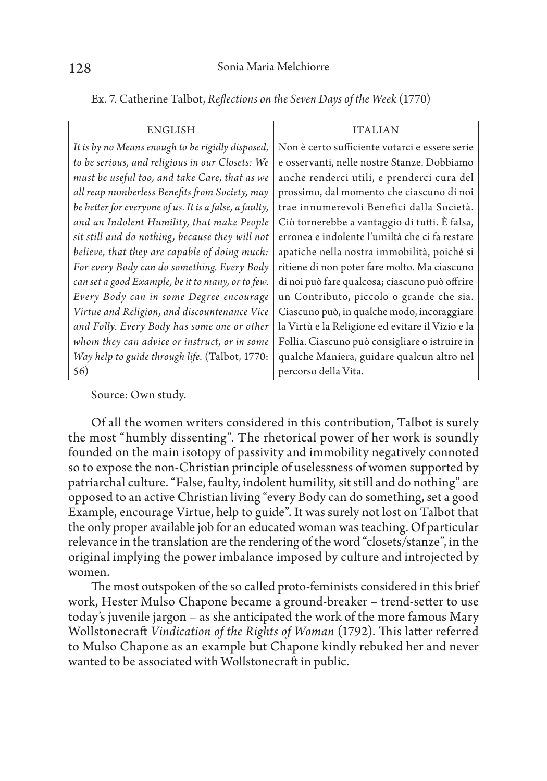| <b>ENGLISH</b>                                         | <b>ITALIAN</b>                                   |
|--------------------------------------------------------|--------------------------------------------------|
| It is by no Means enough to be rigidly disposed,       | Non è certo sufficiente votarci e essere serie   |
| to be serious, and religious in our Closets: We        | e osservanti, nelle nostre Stanze. Dobbiamo      |
| must be useful too, and take Care, that as we          | anche renderci utili, e prenderci cura del       |
| all reap numberless Benefits from Society, may         | prossimo, dal momento che ciascuno di noi        |
| be better for everyone of us. It is a false, a faulty, | trae innumerevoli Benefici dalla Società.        |
| and an Indolent Humility, that make People             | Ciò tornerebbe a vantaggio di tutti. È falsa,    |
| sit still and do nothing, because they will not        | erronea e indolente l'umiltà che ci fa restare   |
| believe, that they are capable of doing much:          | apatiche nella nostra immobilità, poiché si      |
| For every Body can do something. Every Body            | ritiene di non poter fare molto. Ma ciascuno     |
| can set a good Example, be it to many, or to few.      | di noi può fare qualcosa; ciascuno può offrire   |
| Every Body can in some Degree encourage                | un Contributo, piccolo o grande che sia.         |
| Virtue and Religion, and discountenance Vice           | Ciascuno può, in qualche modo, incoraggiare      |
| and Folly. Every Body has some one or other            | la Virtù e la Religione ed evitare il Vizio e la |
| whom they can advice or instruct, or in some           | Follia. Ciascuno può consigliare o istruire in   |
| Way help to guide through life. (Talbot, 1770:         | qualche Maniera, guidare qualcun altro nel       |
| 56)                                                    | percorso della Vita.                             |

Ex. 7. Catherine Talbot, *Reflections on the Seven Days of the Week* (1770)

Source: Own study.

Of all the women writers considered in this contribution, Talbot is surely the most "humbly dissenting". The rhetorical power of her work is soundly founded on the main isotopy of passivity and immobility negatively connoted so to expose the non-Christian principle of uselessness of women supported by patriarchal culture. "False, faulty, indolent humility, sit still and do nothing" are opposed to an active Christian living "every Body can do something, set a good Example, encourage Virtue, help to guide". It was surely not lost on Talbot that the only proper available job for an educated woman was teaching. Of particular relevance in the translation are the rendering of the word "closets/stanze", in the original implying the power imbalance imposed by culture and introjected by women.

The most outspoken of the so called proto-feminists considered in this brief work, Hester Mulso Chapone became a ground-breaker – trend-setter to use today's juvenile jargon – as she anticipated the work of the more famous Mary Wollstonecraft *Vindication of the Rights of Woman* (1792). This latter referred to Mulso Chapone as an example but Chapone kindly rebuked her and never wanted to be associated with Wollstonecraft in public.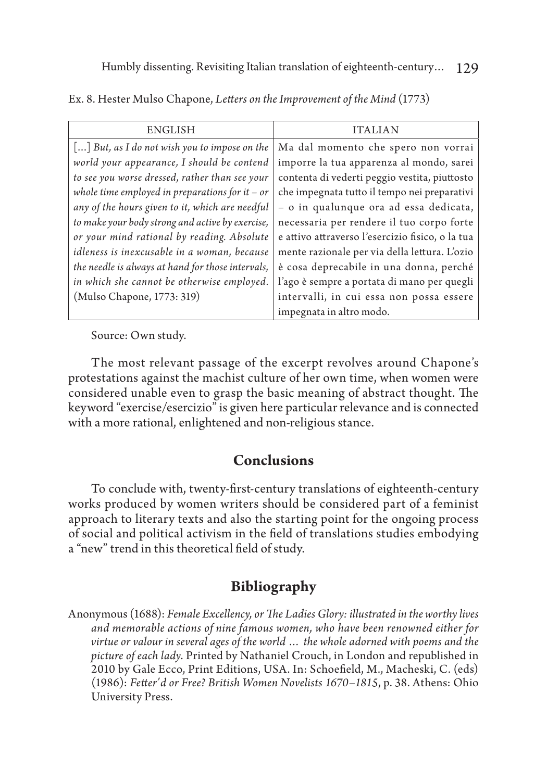| <b>ENGLISH</b>                                                     | <b>ITALIAN</b>                                   |
|--------------------------------------------------------------------|--------------------------------------------------|
| $\left[ \ldots \right]$ But, as I do not wish you to impose on the | Ma dal momento che spero non vorrai              |
| world your appearance, I should be contend                         | imporre la tua apparenza al mondo, sarei         |
| to see you worse dressed, rather than see your                     | contenta di vederti peggio vestita, piuttosto    |
| whole time employed in preparations for it $-$ or                  | che impegnata tutto il tempo nei preparativi     |
| any of the hours given to it, which are needful                    | - o in qualunque ora ad essa dedicata,           |
| to make your body strong and active by exercise,                   | necessaria per rendere il tuo corpo forte        |
| or your mind rational by reading. Absolute                         | e attivo attraverso l'esercizio fisico, o la tua |
| idleness is inexcusable in a woman, because                        | mente razionale per via della lettura. L'ozio    |
| the needle is always at hand for those intervals,                  | è cosa deprecabile in una donna, perché          |
| in which she cannot be otherwise employed.                         | l'ago è sempre a portata di mano per quegli      |
| (Mulso Chapone, 1773: 319)                                         | intervalli, in cui essa non possa essere         |
|                                                                    | impegnata in altro modo.                         |

Ex. 8. Hester Mulso Chapone, *Letters on the Improvement of the Mind* (1773)

Source: Own study.

The most relevant passage of the excerpt revolves around Chapone's protestations against the machist culture of her own time, when women were considered unable even to grasp the basic meaning of abstract thought. The keyword "exercise/esercizio" is given here particular relevance and is connected with a more rational, enlightened and non-religious stance.

## **Conclusions**

To conclude with, twenty-first-century translations of eighteenth-century works produced by women writers should be considered part of a feminist approach to literary texts and also the starting point for the ongoing process of social and political activism in the field of translations studies embodying a "new" trend in this theoretical field of study.

## **Bibliography**

Anonymous (1688): *Female Excellency, or The Ladies Glory: illustrated in the worthy lives and memorable actions of nine famous women, who have been renowned either for virtue or valour in several ages of the world … the whole adorned with poems and the picture of each lady*. Printed by Nathaniel Crouch, in London and republished in 2010 by Gale Ecco, Print Editions, USA. In: Schoefield, M., Macheski, C. (eds) (1986): *Fetter'd or Free? British Women Novelists 1670*–*1815*, p. 38. Athens: Ohio University Press.